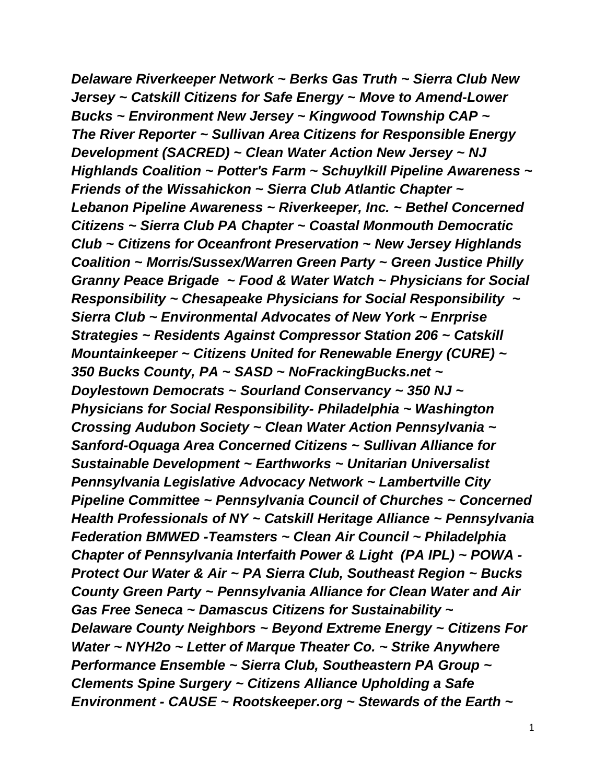*Delaware Riverkeeper Network ~ Berks Gas Truth ~ Sierra Club New Jersey ~ Catskill Citizens for Safe Energy ~ Move to Amend-Lower Bucks ~ Environment New Jersey ~ Kingwood Township CAP ~ The River Reporter ~ Sullivan Area Citizens for Responsible Energy Development (SACRED) ~ Clean Water Action New Jersey ~ NJ Highlands Coalition ~ Potter's Farm ~ Schuylkill Pipeline Awareness ~ Friends of the Wissahickon ~ Sierra Club Atlantic Chapter ~ Lebanon Pipeline Awareness ~ Riverkeeper, Inc. ~ Bethel Concerned Citizens ~ Sierra Club PA Chapter ~ Coastal Monmouth Democratic Club ~ Citizens for Oceanfront Preservation ~ New Jersey Highlands Coalition ~ Morris/Sussex/Warren Green Party ~ Green Justice Philly Granny Peace Brigade ~ Food & Water Watch ~ Physicians for Social Responsibility ~ Chesapeake Physicians for Social Responsibility ~ Sierra Club ~ Environmental Advocates of New York ~ Enrprise Strategies ~ Residents Against Compressor Station 206 ~ Catskill Mountainkeeper ~ Citizens United for Renewable Energy (CURE) ~ 350 Bucks County, PA ~ SASD ~ NoFrackingBucks.net ~ Doylestown Democrats ~ Sourland Conservancy ~ 350 NJ ~ Physicians for Social Responsibility- Philadelphia ~ Washington Crossing Audubon Society ~ Clean Water Action Pennsylvania ~ Sanford-Oquaga Area Concerned Citizens ~ Sullivan Alliance for Sustainable Development ~ Earthworks ~ Unitarian Universalist Pennsylvania Legislative Advocacy Network ~ Lambertville City Pipeline Committee ~ Pennsylvania Council of Churches ~ Concerned Health Professionals of NY ~ Catskill Heritage Alliance ~ Pennsylvania Federation BMWED -Teamsters ~ Clean Air Council ~ Philadelphia Chapter of Pennsylvania Interfaith Power & Light (PA IPL) ~ POWA - Protect Our Water & Air ~ PA Sierra Club, Southeast Region ~ Bucks County Green Party ~ Pennsylvania Alliance for Clean Water and Air Gas Free Seneca ~ Damascus Citizens for Sustainability ~ Delaware County Neighbors ~ Beyond Extreme Energy ~ Citizens For Water ~ NYH2o ~ Letter of Marque Theater Co. ~ Strike Anywhere Performance Ensemble ~ Sierra Club, Southeastern PA Group ~ Clements Spine Surgery ~ Citizens Alliance Upholding a Safe Environment - CAUSE ~ Rootskeeper.org ~ Stewards of the Earth ~*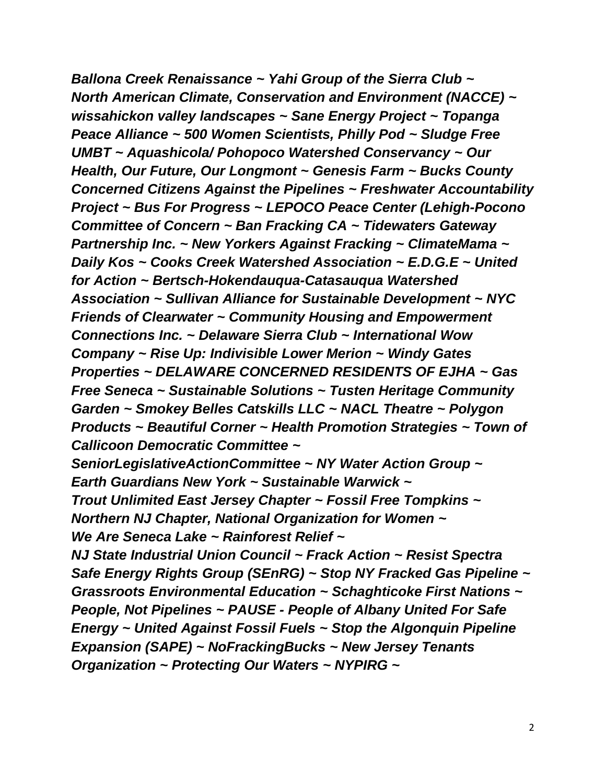*Ballona Creek Renaissance ~ Yahi Group of the Sierra Club ~ North American Climate, Conservation and Environment (NACCE) ~ wissahickon valley landscapes ~ Sane Energy Project ~ Topanga Peace Alliance ~ 500 Women Scientists, Philly Pod ~ Sludge Free UMBT ~ Aquashicola/ Pohopoco Watershed Conservancy ~ Our Health, Our Future, Our Longmont ~ Genesis Farm ~ Bucks County Concerned Citizens Against the Pipelines ~ Freshwater Accountability Project ~ Bus For Progress ~ LEPOCO Peace Center (Lehigh-Pocono Committee of Concern ~ Ban Fracking CA ~ Tidewaters Gateway Partnership Inc. ~ New Yorkers Against Fracking ~ ClimateMama ~ Daily Kos ~ Cooks Creek Watershed Association ~ E.D.G.E ~ United for Action ~ Bertsch-Hokendauqua-Catasauqua Watershed Association ~ Sullivan Alliance for Sustainable Development ~ NYC Friends of Clearwater ~ Community Housing and Empowerment Connections Inc. ~ Delaware Sierra Club ~ International Wow Company ~ Rise Up: Indivisible Lower Merion ~ Windy Gates Properties ~ DELAWARE CONCERNED RESIDENTS OF EJHA ~ Gas Free Seneca ~ Sustainable Solutions ~ Tusten Heritage Community Garden ~ Smokey Belles Catskills LLC ~ NACL Theatre ~ Polygon Products ~ Beautiful Corner ~ Health Promotion Strategies ~ Town of Callicoon Democratic Committee ~ SeniorLegislativeActionCommittee ~ NY Water Action Group ~*

*Earth Guardians New York ~ Sustainable Warwick ~*

*Trout Unlimited East Jersey Chapter ~ Fossil Free Tompkins ~ Northern NJ Chapter, National Organization for Women ~ We Are Seneca Lake ~ Rainforest Relief ~*

*NJ State Industrial Union Council ~ Frack Action ~ Resist Spectra Safe Energy Rights Group (SEnRG) ~ Stop NY Fracked Gas Pipeline ~ Grassroots Environmental Education ~ Schaghticoke First Nations ~ People, Not Pipelines ~ PAUSE - People of Albany United For Safe Energy ~ United Against Fossil Fuels ~ Stop the Algonquin Pipeline Expansion (SAPE) ~ NoFrackingBucks ~ New Jersey Tenants Organization ~ Protecting Our Waters ~ NYPIRG ~*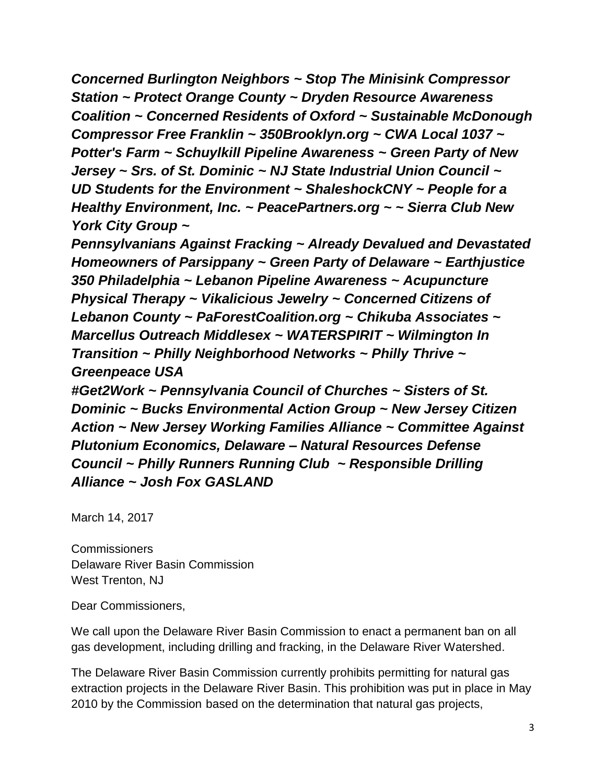*Concerned Burlington Neighbors ~ Stop The Minisink Compressor Station ~ Protect Orange County ~ Dryden Resource Awareness Coalition ~ Concerned Residents of Oxford ~ Sustainable McDonough Compressor Free Franklin ~ 350Brooklyn.org ~ CWA Local 1037 ~ Potter's Farm ~ Schuylkill Pipeline Awareness ~ Green Party of New Jersey ~ Srs. of St. Dominic ~ NJ State Industrial Union Council ~ UD Students for the Environment ~ ShaleshockCNY ~ People for a Healthy Environment, Inc. ~ PeacePartners.org ~ ~ Sierra Club New York City Group ~*

*Pennsylvanians Against Fracking ~ Already Devalued and Devastated Homeowners of Parsippany ~ Green Party of Delaware ~ Earthjustice 350 Philadelphia ~ Lebanon Pipeline Awareness ~ Acupuncture Physical Therapy ~ Vikalicious Jewelry ~ Concerned Citizens of Lebanon County ~ PaForestCoalition.org ~ Chikuba Associates ~ Marcellus Outreach Middlesex ~ WATERSPIRIT ~ Wilmington In Transition ~ Philly Neighborhood Networks ~ Philly Thrive ~ Greenpeace USA*

*#Get2Work ~ Pennsylvania Council of Churches ~ Sisters of St. Dominic ~ Bucks Environmental Action Group ~ New Jersey Citizen Action ~ New Jersey Working Families Alliance ~ Committee Against Plutonium Economics, Delaware – Natural Resources Defense Council ~ Philly Runners Running Club ~ Responsible Drilling Alliance ~ Josh Fox GASLAND*

March 14, 2017

**Commissioners** Delaware River Basin Commission West Trenton, NJ

Dear Commissioners,

We call upon the Delaware River Basin Commission to enact a permanent ban on all gas development, including drilling and fracking, in the Delaware River Watershed.

The Delaware River Basin Commission currently prohibits permitting for natural gas extraction projects in the Delaware River Basin. This prohibition was put in place in May 2010 by the Commission based on the determination that natural gas projects,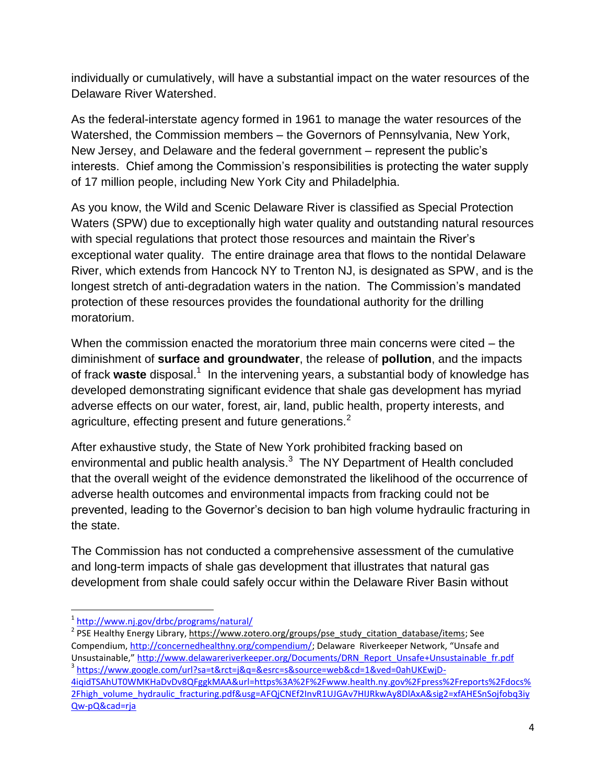individually or cumulatively, will have a substantial impact on the water resources of the Delaware River Watershed.

As the federal-interstate agency formed in 1961 to manage the water resources of the Watershed, the Commission members – the Governors of Pennsylvania, New York, New Jersey, and Delaware and the federal government – represent the public's interests. Chief among the Commission's responsibilities is protecting the water supply of 17 million people, including New York City and Philadelphia.

As you know, the Wild and Scenic Delaware River is classified as Special Protection Waters (SPW) due to exceptionally high water quality and outstanding natural resources with special regulations that protect those resources and maintain the River's exceptional water quality. The entire drainage area that flows to the nontidal Delaware River, which extends from Hancock NY to Trenton NJ, is designated as SPW, and is the longest stretch of anti-degradation waters in the nation. The Commission's mandated protection of these resources provides the foundational authority for the drilling moratorium.

When the commission enacted the moratorium three main concerns were cited – the diminishment of **surface and groundwater**, the release of **pollution**, and the impacts of frack waste disposal.<sup>1</sup> In the intervening years, a substantial body of knowledge has developed demonstrating significant evidence that shale gas development has myriad adverse effects on our water, forest, air, land, public health, property interests, and agriculture, effecting present and future generations.<sup>2</sup>

After exhaustive study, the State of New York prohibited fracking based on environmental and public health analysis. $3$  The NY Department of Health concluded that the overall weight of the evidence demonstrated the likelihood of the occurrence of adverse health outcomes and environmental impacts from fracking could not be prevented, leading to the Governor's decision to ban high volume hydraulic fracturing in the state.

The Commission has not conducted a comprehensive assessment of the cumulative and long-term impacts of shale gas development that illustrates that natural gas development from shale could safely occur within the Delaware River Basin without

 $\overline{\phantom{a}}$ <sup>1</sup><http://www.nj.gov/drbc/programs/natural/>

<sup>&</sup>lt;sup>2</sup> PSE Healthy Energy Library, https://www.zotero.org/groups/pse\_study\_citation\_database/items; See Compendium[, http://concernedhealthny.org/compendium/](http://concernedhealthny.org/compendium/); Delaware Riverkeeper Network, "Unsafe and Unsustainable," http://www.delawareriverkeeper.org/Documents/DRN\_Report\_Unsafe+Unsustainable\_fr.pdf

<sup>&</sup>lt;sup>3</sup> [https://www.google.com/url?sa=t&rct=j&q=&esrc=s&source=web&cd=1&ved=0ahUKEwjD-](https://www.google.com/url?sa=t&rct=j&q=&esrc=s&source=web&cd=1&ved=0ahUKEwjD-4iqidTSAhUT0WMKHaDvDv8QFggkMAA&url=https%3A%2F%2Fwww.health.ny.gov%2Fpress%2Freports%2Fdocs%2Fhigh_volume_hydraulic_fracturing.pdf&usg=AFQjCNEf2InvR1UJGAv7HIJRkwAy8DlAxA&sig2=xfAHESnSojfobq3iyQw-pQ&cad=rja)[4iqidTSAhUT0WMKHaDvDv8QFggkMAA&url=https%3A%2F%2Fwww.health.ny.gov%2Fpress%2Freports%2Fdocs%](https://www.google.com/url?sa=t&rct=j&q=&esrc=s&source=web&cd=1&ved=0ahUKEwjD-4iqidTSAhUT0WMKHaDvDv8QFggkMAA&url=https%3A%2F%2Fwww.health.ny.gov%2Fpress%2Freports%2Fdocs%2Fhigh_volume_hydraulic_fracturing.pdf&usg=AFQjCNEf2InvR1UJGAv7HIJRkwAy8DlAxA&sig2=xfAHESnSojfobq3iyQw-pQ&cad=rja) [2Fhigh\\_volume\\_hydraulic\\_fracturing.pdf&usg=AFQjCNEf2InvR1UJGAv7HIJRkwAy8DlAxA&sig2=xfAHESnSojfobq3iy](https://www.google.com/url?sa=t&rct=j&q=&esrc=s&source=web&cd=1&ved=0ahUKEwjD-4iqidTSAhUT0WMKHaDvDv8QFggkMAA&url=https%3A%2F%2Fwww.health.ny.gov%2Fpress%2Freports%2Fdocs%2Fhigh_volume_hydraulic_fracturing.pdf&usg=AFQjCNEf2InvR1UJGAv7HIJRkwAy8DlAxA&sig2=xfAHESnSojfobq3iyQw-pQ&cad=rja) [Qw-pQ&cad=rja](https://www.google.com/url?sa=t&rct=j&q=&esrc=s&source=web&cd=1&ved=0ahUKEwjD-4iqidTSAhUT0WMKHaDvDv8QFggkMAA&url=https%3A%2F%2Fwww.health.ny.gov%2Fpress%2Freports%2Fdocs%2Fhigh_volume_hydraulic_fracturing.pdf&usg=AFQjCNEf2InvR1UJGAv7HIJRkwAy8DlAxA&sig2=xfAHESnSojfobq3iyQw-pQ&cad=rja)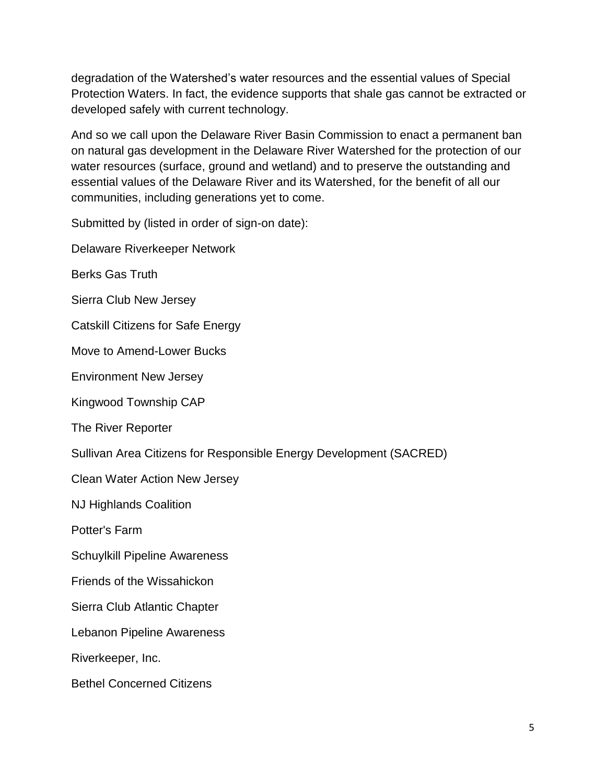degradation of the Watershed's water resources and the essential values of Special Protection Waters. In fact, the evidence supports that shale gas cannot be extracted or developed safely with current technology.

And so we call upon the Delaware River Basin Commission to enact a permanent ban on natural gas development in the Delaware River Watershed for the protection of our water resources (surface, ground and wetland) and to preserve the outstanding and essential values of the Delaware River and its Watershed, for the benefit of all our communities, including generations yet to come.

Submitted by (listed in order of sign-on date):

Delaware Riverkeeper Network

Berks Gas Truth

Sierra Club New Jersey

Catskill Citizens for Safe Energy

Move to Amend-Lower Bucks

Environment New Jersey

Kingwood Township CAP

The River Reporter

Sullivan Area Citizens for Responsible Energy Development (SACRED)

Clean Water Action New Jersey

NJ Highlands Coalition

Potter's Farm

Schuylkill Pipeline Awareness

Friends of the Wissahickon

Sierra Club Atlantic Chapter

Lebanon Pipeline Awareness

Riverkeeper, Inc.

Bethel Concerned Citizens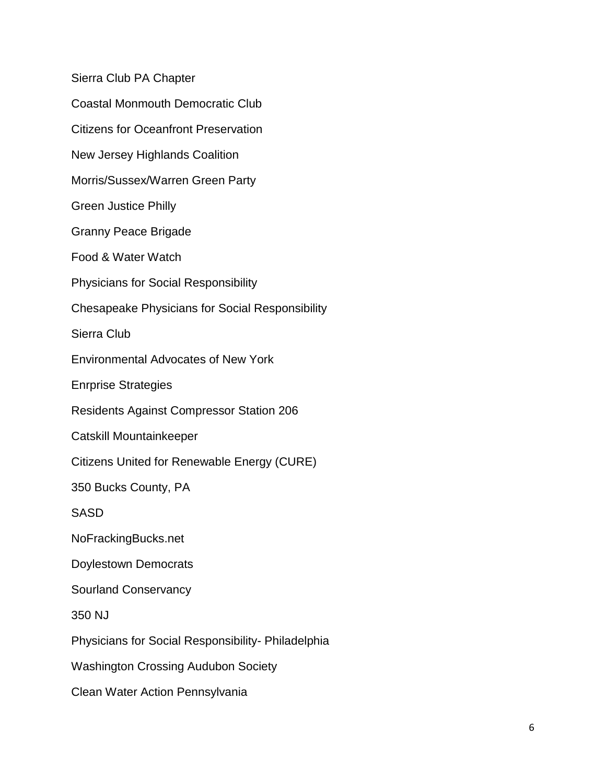Sierra Club PA Chapter Coastal Monmouth Democratic Club Citizens for Oceanfront Preservation New Jersey Highlands Coalition Morris/Sussex/Warren Green Party Green Justice Philly Granny Peace Brigade Food & Water Watch Physicians for Social Responsibility Chesapeake Physicians for Social Responsibility Sierra Club Environmental Advocates of New York Enrprise Strategies Residents Against Compressor Station 206 Catskill Mountainkeeper Citizens United for Renewable Energy (CURE) 350 Bucks County, PA SASD NoFrackingBucks.net Doylestown Democrats Sourland Conservancy 350 NJ Physicians for Social Responsibility- Philadelphia Washington Crossing Audubon Society Clean Water Action Pennsylvania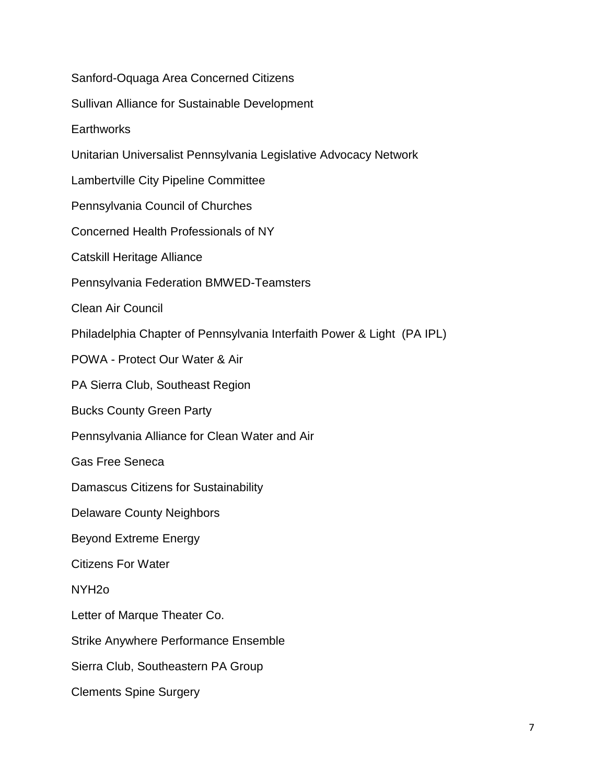Sanford-Oquaga Area Concerned Citizens

Sullivan Alliance for Sustainable Development

**Earthworks** 

Unitarian Universalist Pennsylvania Legislative Advocacy Network

Lambertville City Pipeline Committee

Pennsylvania Council of Churches

Concerned Health Professionals of NY

Catskill Heritage Alliance

Pennsylvania Federation BMWED-Teamsters

Clean Air Council

Philadelphia Chapter of Pennsylvania Interfaith Power & Light (PA IPL)

POWA - Protect Our Water & Air

PA Sierra Club, Southeast Region

Bucks County Green Party

Pennsylvania Alliance for Clean Water and Air

Gas Free Seneca

Damascus Citizens for Sustainability

Delaware County Neighbors

Beyond Extreme Energy

Citizens For Water

NYH2o

Letter of Marque Theater Co.

Strike Anywhere Performance Ensemble

Sierra Club, Southeastern PA Group

Clements Spine Surgery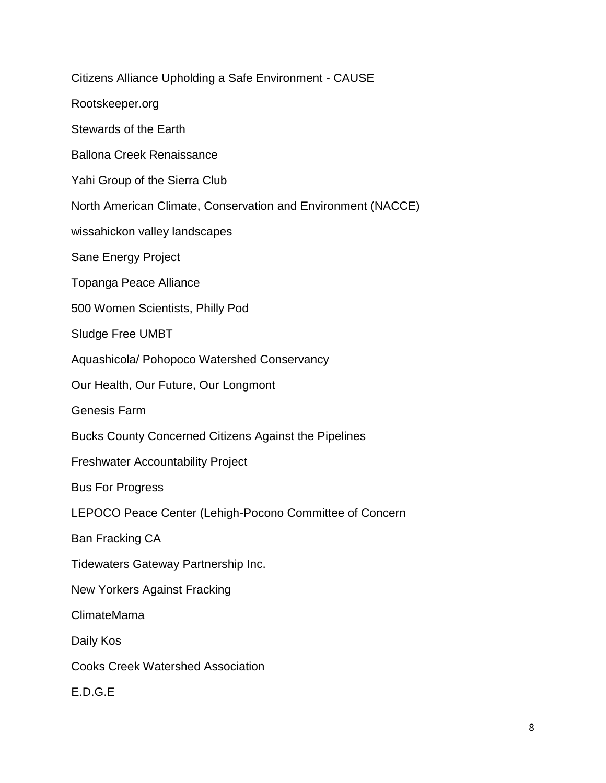Citizens Alliance Upholding a Safe Environment - CAUSE Rootskeeper.org Stewards of the Earth Ballona Creek Renaissance Yahi Group of the Sierra Club North American Climate, Conservation and Environment (NACCE) wissahickon valley landscapes Sane Energy Project Topanga Peace Alliance 500 Women Scientists, Philly Pod Sludge Free UMBT Aquashicola/ Pohopoco Watershed Conservancy Our Health, Our Future, Our Longmont Genesis Farm Bucks County Concerned Citizens Against the Pipelines Freshwater Accountability Project Bus For Progress LEPOCO Peace Center (Lehigh-Pocono Committee of Concern Ban Fracking CA Tidewaters Gateway Partnership Inc. New Yorkers Against Fracking ClimateMama Daily Kos Cooks Creek Watershed Association E.D.G.E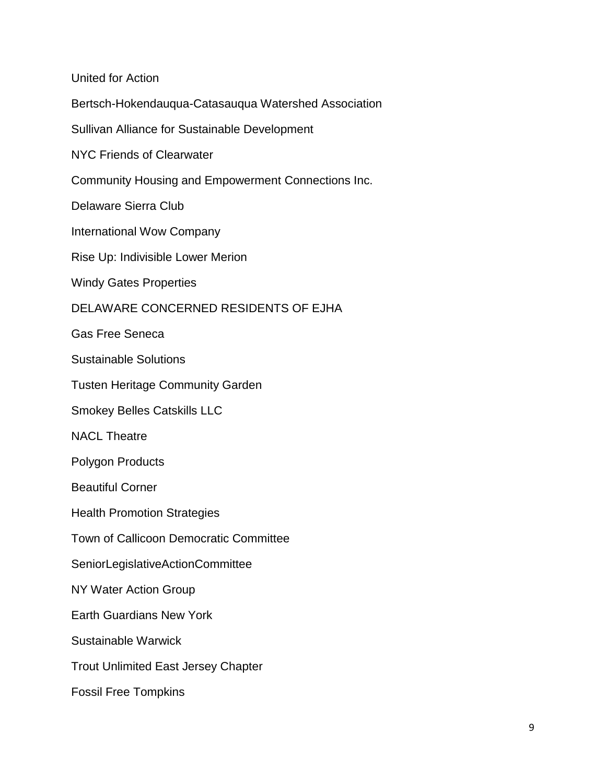United for Action Bertsch-Hokendauqua-Catasauqua Watershed Association Sullivan Alliance for Sustainable Development NYC Friends of Clearwater Community Housing and Empowerment Connections Inc. Delaware Sierra Club International Wow Company Rise Up: Indivisible Lower Merion Windy Gates Properties DELAWARE CONCERNED RESIDENTS OF EJHA Gas Free Seneca Sustainable Solutions Tusten Heritage Community Garden Smokey Belles Catskills LLC NACL Theatre Polygon Products Beautiful Corner Health Promotion Strategies Town of Callicoon Democratic Committee SeniorLegislativeActionCommittee NY Water Action Group Earth Guardians New York Sustainable Warwick Trout Unlimited East Jersey Chapter Fossil Free Tompkins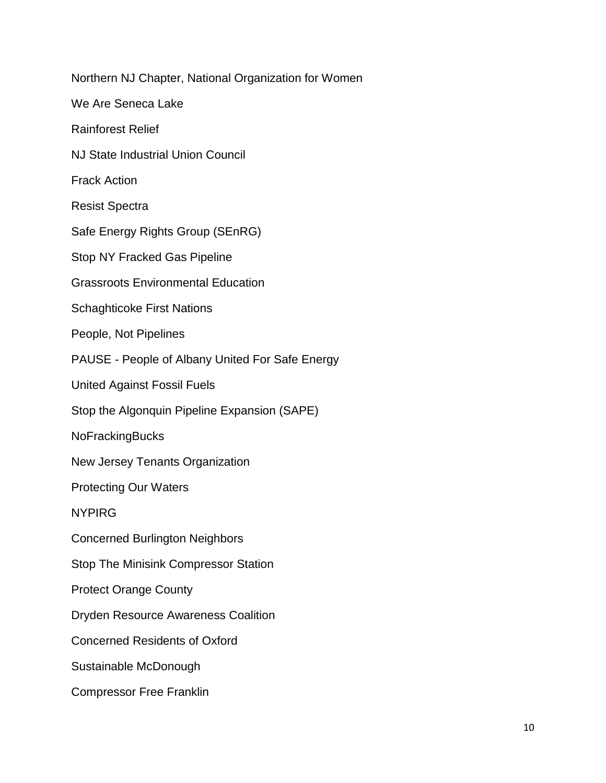Northern NJ Chapter, National Organization for Women We Are Seneca Lake Rainforest Relief NJ State Industrial Union Council Frack Action Resist Spectra Safe Energy Rights Group (SEnRG) Stop NY Fracked Gas Pipeline Grassroots Environmental Education Schaghticoke First Nations People, Not Pipelines PAUSE - People of Albany United For Safe Energy United Against Fossil Fuels Stop the Algonquin Pipeline Expansion (SAPE) NoFrackingBucks New Jersey Tenants Organization Protecting Our Waters NYPIRG Concerned Burlington Neighbors Stop The Minisink Compressor Station Protect Orange County Dryden Resource Awareness Coalition Concerned Residents of Oxford Sustainable McDonough Compressor Free Franklin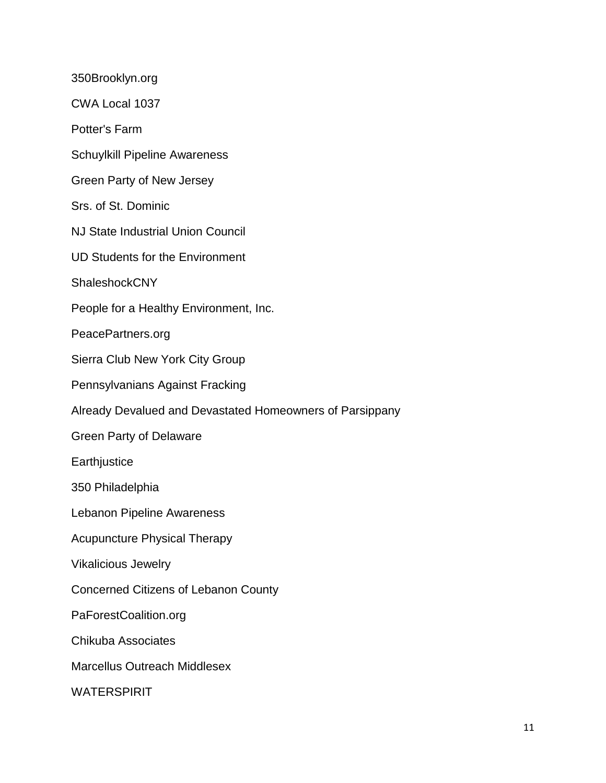350Brooklyn.org CWA Local 1037 Potter's Farm Schuylkill Pipeline Awareness Green Party of New Jersey Srs. of St. Dominic NJ State Industrial Union Council UD Students for the Environment **ShaleshockCNY** People for a Healthy Environment, Inc. PeacePartners.org Sierra Club New York City Group Pennsylvanians Against Fracking Already Devalued and Devastated Homeowners of Parsippany Green Party of Delaware **Earthjustice** 350 Philadelphia Lebanon Pipeline Awareness Acupuncture Physical Therapy Vikalicious Jewelry Concerned Citizens of Lebanon County PaForestCoalition.org Chikuba Associates Marcellus Outreach Middlesex **WATERSPIRIT**